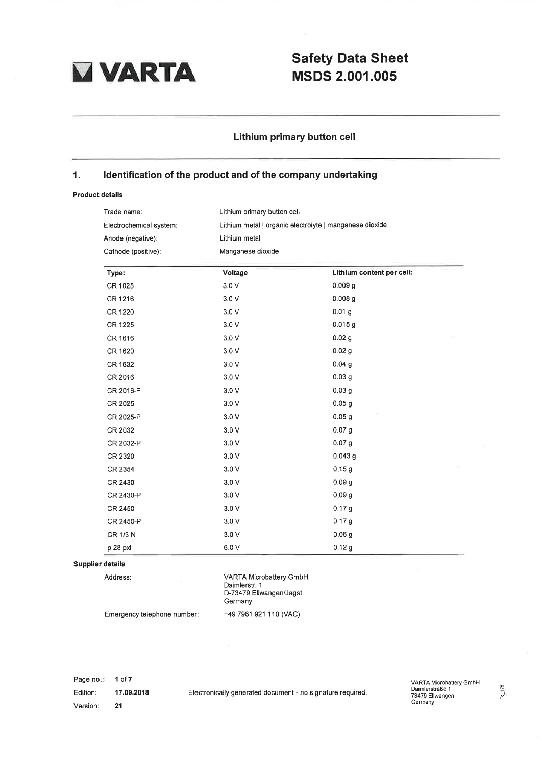

# VARTA Safety Data Sheet<br>MSDS 2.001.005 MSDS 2.001.005

## Lithium primary button cell

## '1. ldentification of the product and of the company undertaking

### Product details

| Trade name:             |                   | Lithium primary button cell                             |  |  |
|-------------------------|-------------------|---------------------------------------------------------|--|--|
| Electrochemical system: |                   | Lithium metal   organic electrolyte   manganese dioxide |  |  |
| Anode (negative):       | Lithium metal     |                                                         |  |  |
| Cathode (positive):     | Manganese dioxide |                                                         |  |  |
| Type:                   | Voltage           | Lithium content per cell:                               |  |  |
| CR 1025                 | 3.0V              | 0.009 <sub>g</sub>                                      |  |  |
| CR 1216                 | 3.0V              | 0.008 <sub>g</sub>                                      |  |  |
| CR 1220                 | 3.0V              | 0.01 <sub>g</sub>                                       |  |  |
| CR 1225                 | 3.0V              | 0.015g                                                  |  |  |
| CR 1616                 | 3.0V              | 0.02 <sub>g</sub>                                       |  |  |
| CR 1620                 | 3.0V              | 0.02 <sub>g</sub>                                       |  |  |
| CR 1632                 | 3.0V              | 0.04 <sub>g</sub>                                       |  |  |
| CR 2016                 | $3.0 V$           | 0.03 <sub>g</sub>                                       |  |  |
| CR 2016-P               | 3.0V              | 0.03 <sub>g</sub>                                       |  |  |
| CR 2025                 | 3.0V              | 0.05 <sub>g</sub>                                       |  |  |
| CR 2025-P               | 3.0V              | 0.05 <sub>g</sub>                                       |  |  |
| CR 2032                 | 3.0V              | 0.07 <sub>g</sub>                                       |  |  |
| CR 2032-P               | 3.0V              | 0.07 <sub>g</sub>                                       |  |  |
| CR 2320                 | 3.0V              | 0.043 g                                                 |  |  |
| CR 2354                 | 3.0V              | 0.15g                                                   |  |  |
| CR 2430                 | 3.0V              | 0.09 <sub>g</sub>                                       |  |  |
| CR 2430-P               | 3.0V              | 0.09 <sub>g</sub>                                       |  |  |
| CR 2450                 | 3.0V              | 0.17 <sub>g</sub>                                       |  |  |
| CR 2450-P               | 3.0V              | 0.17 g                                                  |  |  |
| CR 1/3 N                | 3.0V              | 0.06 <sub>g</sub>                                       |  |  |
| p 28 pxl                | 6.0V              | 0.12g                                                   |  |  |

### Supplier details

Address:

VARTA Microbattery GmbH Daimlerstr. <sup>1</sup> D-73479 Ellwangen/Jagst Germany +497961 921 110 (VAC)

Emergency telephone number:

Page no.: Edition: Version: 1 of7 17.09.2018

VARTA Microbattery GmbH Daimlerstraße <sup>1</sup> 73479 Ellwangen Germany Clectronically generated document - no signature required.<br>Electronically generated document - no signature required. The Daimlerstraße 1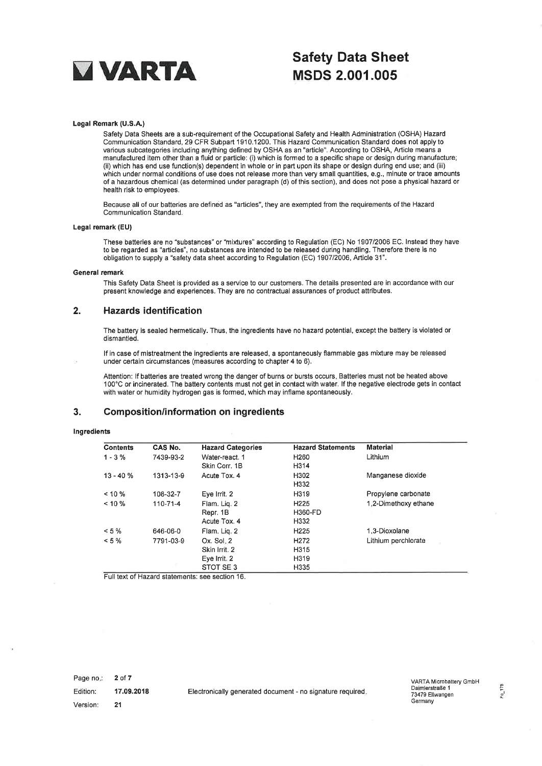

# **VARTA** Safety Data Sheet<br>MSDS 2.001.005 MSDS 2.001.005

#### Legal Remark (U.S.A,)

Safety Data Sheets are a sub-requirement of the Occupational Safety and Health Administration (OSHA) Hazard Communication Standard, 29 CFR Subpart 1910.1200. This Hazard Communication Standard does not apply to various subcategories including anything defined by OSHA as an "article". According to OSHA, Article means a manufactured item other than a fluid or particle: (i) which is formed to a specific shape or design during manufacture; (ii) which has end use function(s) dependent in whole or in part upon its shape or design during end use; and (iii) which under normal conditions of use does not release more than very small quantities, e.9., minute or trace amounts of a hazardous chemical (as determined under paragraph (d) ofthis seciion), and does not pose a physical hazard or health risk to employees.

Because all of our batteries are defined as "articles", they are exempted from the requirements of the Hazard Communication Standard.

#### Legal remark (EU)

These batteries are no "substances" or "mixtures" according to Regulation (EC) No 190712006 EC. lnstead they have to be regarded as "articles", no substances are intended to be released during handling. Therefore there is no obligation to supply a "safety data sheet according to Regulation (EC) 1907/2006, Article 31".

#### General remark

This Safety Data Sheet is provided as a service to our customers. The details presented are in accordance with our present knowledge and experiences. They are no contractual assurances of product attributes.

## 2. Hazards identification

The battery is sealed hermetically. Thus, the ingredients have no hazard potential, except the battery is violated or dismantled.

lf in case of mistreatment the ingredients are released, a spontaneously flammable gas mixture may be released under certain circumstances (measures according to chapter 4 to 6).

Attention: lf batteries are treated wrong the danger of burns or bursts occurs. Batteries must not be heated above 100'C or incinerated. The battery contents must not get in contact with water. lf the negative electrode gets in contact with water or humidity hydrogen gas is formed, which may inflame spontaneously.

#### 3. Composition/information on ingredients

#### lngredients

| <b>Contents</b> | CAS No.   | <b>Hazard Categories</b>                                     | <b>Hazard Statements</b>                   | <b>Material</b>      |
|-----------------|-----------|--------------------------------------------------------------|--------------------------------------------|----------------------|
| $1 - 3%$        | 7439-93-2 | Water-react. 1<br>Skin Corr. 1B                              | H <sub>260</sub><br>H314                   | Lithium              |
| $13 - 40%$      | 1313-13-9 | Acute Tox. 4                                                 | H <sub>302</sub><br>H332                   | Manganese dioxide    |
| $< 10 \%$       | 108-32-7  | Eve Irrit. 2                                                 | H319                                       | Propylene carbonate  |
| $< 10 \%$       | 110-71-4  | Flam. Lig. 2<br>Repr. 1B<br>Acute Tox, 4                     | H <sub>225</sub><br><b>H360-FD</b><br>H332 | 1,2-Dimethoxy ethane |
| $< 5 \%$        | 646-06-0  | Flam. Lig. 2                                                 | H <sub>225</sub>                           | 1.3-Dioxolane        |
| $< 5 \%$        | 7791-03-9 | $Ox.$ Sol. $2$<br>Skin Irrit, 2<br>Eye Irrit. 2<br>STOT SE 3 | H <sub>272</sub><br>H315<br>H319<br>H335   | Lithium perchlorate  |

Full text of Hazard statements: see section 16.

Page no.: Edition: Version: 2 of 7 17.09.2018 21

Electronically generated document - no signature required.<br>1 23479 Eliwangen<br>2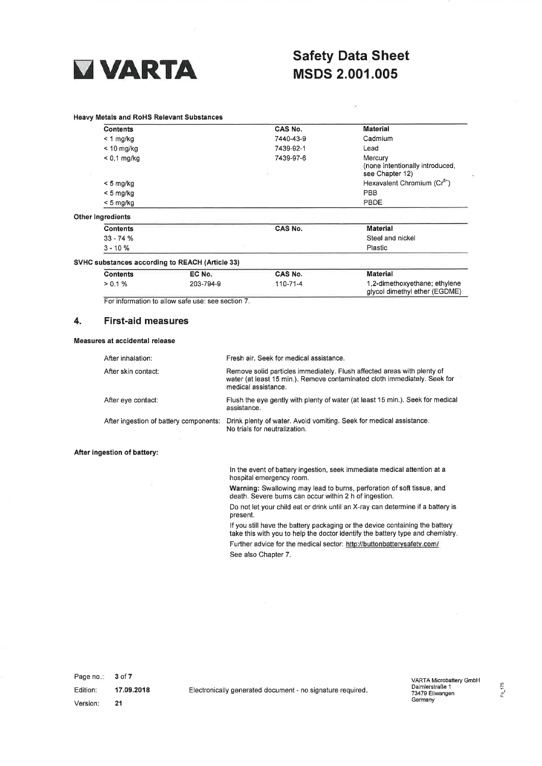

## **VARTA** Safety Data Sheet<br>
MSDS 2.001.005 MSDS 2,001.005

ķ,

#### Heavy Metals and RoHS Relevant Substances

| <b>Contents</b>                                 |        | CAS No.   | <b>Material</b>                                              |
|-------------------------------------------------|--------|-----------|--------------------------------------------------------------|
| $< 1$ mg/kg                                     |        | 7440-43-9 | Cadmium<br>Lead                                              |
| $< 10$ mg/kg                                    |        | 7439-92-1 |                                                              |
| $< 0.1$ mg/kg                                   |        | 7439-97-6 | Mercury<br>(none intentionally introduced<br>see Chapter 12) |
| $< 5$ mg/kg                                     |        |           | Hexavalent Chromium (Cr <sup>6+</sup> )                      |
| $<$ 5 mg/kg                                     |        |           | <b>PBB</b>                                                   |
| $< 5$ mg/kg                                     |        |           | PBDE                                                         |
| <b>Other Ingredients</b>                        |        |           |                                                              |
| <b>Contents</b>                                 |        | CAS No.   | <b>Material</b>                                              |
| $33 - 74%$                                      |        |           | Steel and nickel                                             |
| $3 - 10%$                                       |        |           | Plastic                                                      |
| SVHC substances according to REACH (Article 33) |        |           |                                                              |
| <b>Contents</b>                                 | EC No. | CAS No.   | <b>Material</b>                                              |

| $> 0.1 \%$ | 203-794-9 | 110-71-4 | 1,2-dimethoxyethane; ethylene |
|------------|-----------|----------|-------------------------------|
|            |           |          | glycol dimethyl ether (EGDME) |

For information to allow safe use: see section 7.

## 4. First-aid measures

#### Measures at accidental release

| After inhalation:                      | Fresh air. Seek for medical assistance.                                                                                                                                     |
|----------------------------------------|-----------------------------------------------------------------------------------------------------------------------------------------------------------------------------|
| After skin contact:                    | Remove solid particles immediately. Flush affected areas with plenty of<br>water (at least 15 min.). Remove contaminated cloth immediately. Seek for<br>medical assistance. |
| After eye contact:                     | Flush the eye gently with plenty of water (at least 15 min.). Seek for medical<br>assistance.                                                                               |
| After ingestion of battery components: | Drink plenty of water. Avoid vomiting. Seek for medical assistance.<br>No trials for neutralization.                                                                        |

#### After ingestion of battery:

ln the event of battery ingestion, seek immediate medical attention at a hospital emergency room.

Warning: Swallowing may lead to burns, perforation of soft tissue, and death. Severe burns can occur within 2 h of ingestion.

Do not let your child eat or drink until an X-ray can determine if a battery is present.

lf you still have the battery packaging or the device containing the battery take this with you to help the doctor identify the battery type and chemistry Further advice for the medical sector: http://buttonbatterysafety.com/ See also Chapter 7.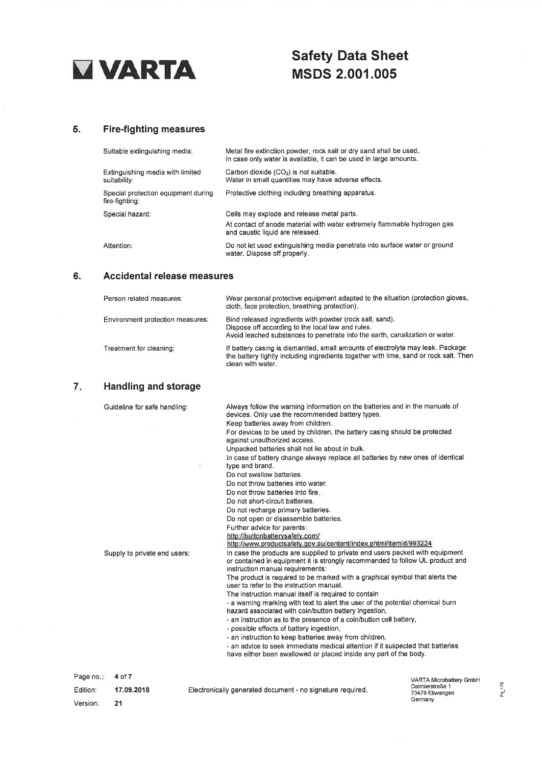

# Safety Data Sheet MSDS 2.001.005

## 5. Fire-fighting measures

| Suitable extinguishing media:                         | Metal fire extinction powder, rock salt or dry sand shall be used.<br>In case only water is available, it can be used in large amounts. |
|-------------------------------------------------------|-----------------------------------------------------------------------------------------------------------------------------------------|
| Extinguishing media with limited<br>suitability:      | Carbon dioxide $(CO2)$ is not suitable.<br>Water in small quantities may have adverse effects.                                          |
| Special protection equipment during<br>fire-fighting: | Protective clothing including breathing apparatus.                                                                                      |
| Special hazard:                                       | Cells may explode and release metal parts.                                                                                              |
|                                                       | At contact of anode material with water extremely flammable hydrogen gas<br>and caustic liquid are released.                            |
| Attention:                                            | Do not let used extinguishing media penetrate into surface water or ground<br>water. Dispose off properly.                              |

## 6. Accidental release measures

| Person related measures:         | Wear personal protective equipment adapted to the situation (protection gloves,<br>cloth, face protection, breathing protection).                                                             |
|----------------------------------|-----------------------------------------------------------------------------------------------------------------------------------------------------------------------------------------------|
| Environment protection measures: | Bind released ingredients with powder (rock salt, sand).<br>Dispose off according to the local law and rules.<br>Avoid leached substances to penetrate into the earth, canalization or water. |
| Treatment for cleaning:          | If battery casing is dismantled, small amounts of electrolyte may leak. Package<br>the battery tightly including ingredients together with lime, sand or rock salt. Then<br>clean with water. |

## 7. Handling and storage

|                                  | Supply to private end users: | against unauthorized access.<br>Unpacked batteries shall not lie about in bulk.<br>In case of battery change always replace all batteries by new ones of identical<br>type and brand.<br>÷,<br>Do not swallow batteries.<br>Do not throw batteries into water.<br>Do not throw batteries into fire.<br>Do not short-circuit batteries.<br>Do not recharge primary batteries.<br>Do not open or disassemble batteries.<br>Further advice for parents:<br>http://buttonbatterysafety.com/<br>http://www.productsafety.gov.au/content/index.phtml/itemId/993224<br>In case the products are supplied to private end users packed with equipment<br>or contained in equipment it is strongly recommended to follow UL product and<br>instruction manual requirements:<br>The product is required to be marked with a graphical symbol that alerts the<br>user to refer to the instruction manual.<br>The instruction manual itself is required to contain<br>- a warning marking with text to alert the user of the potential chemical burn<br>hazard associated with coin/button battery ingestion,<br>- an instruction as to the presence of a coin/button cell battery.<br>- possible effects of battery ingestion,<br>- an instruction to keep batteries away from children,<br>- an advice to seek immediate medical attention if it suspected that batteries<br>have either been swallowed or placed inside any part of the body. | For devices to be used by children, the battery casing should be protected |        |
|----------------------------------|------------------------------|-------------------------------------------------------------------------------------------------------------------------------------------------------------------------------------------------------------------------------------------------------------------------------------------------------------------------------------------------------------------------------------------------------------------------------------------------------------------------------------------------------------------------------------------------------------------------------------------------------------------------------------------------------------------------------------------------------------------------------------------------------------------------------------------------------------------------------------------------------------------------------------------------------------------------------------------------------------------------------------------------------------------------------------------------------------------------------------------------------------------------------------------------------------------------------------------------------------------------------------------------------------------------------------------------------------------------------------------------------------------------------------------------------------------------------------|----------------------------------------------------------------------------|--------|
| Page no.<br>Edition:<br>Version: | 4 of 7<br>17.09.2018<br>21   | Electronically generated document - no signature required.                                                                                                                                                                                                                                                                                                                                                                                                                                                                                                                                                                                                                                                                                                                                                                                                                                                                                                                                                                                                                                                                                                                                                                                                                                                                                                                                                                          | VARTA Microbattery GmbH<br>Daimlerstraße 1<br>73479 Ellwangen<br>Germany   | Fo 175 |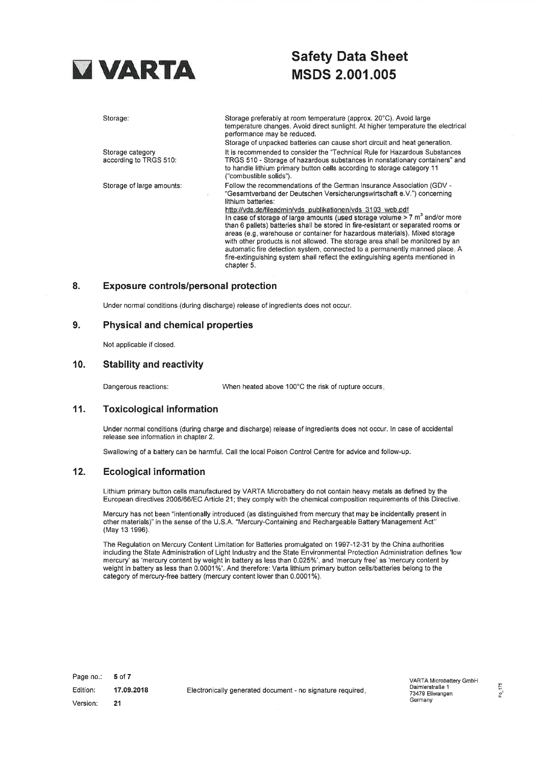

# **TARTA Safety Data Sheet**<br>MSDS 2 001 005 MSDS 2.001.005

Storage:

Storage category according to TRGS 510:

Storage of large amounts:

Storage preferably at room temperature (approx. 20'C). Avoid large temperature changes. Avoid direct sunlight. At higher temperature the electrical performance may be reduced. Storage of unpacked batteries can cause short circuit and heat generation.

It is recommended to consider the "Technical Rule for Hazardous Substances TRGS 510 - Storage of hazardous substances in nonstationary containers" and to handle lithium primary button cells according to storage category 11 ("com bustible solids").

Follow the recommendations of the German lnsurance Association (GDV - "Gesamtverband der Deutschen Versicherungswirtschaft e.V.") concerning lithium batteries:

http://vds.de/fileadmin/vds\_publikationen/vds\_3103\_web.pdf In case of storage of large amounts (used storage volume  $> 7$  m<sup>3</sup> and/or more than 6 pallets) batteries shall be stored in fire-resistant or separated rooms or areas (e.9. warehouse or container for hazardous materials). Mixed storage with other products is not allowed. The storage area shall be monitored by an automatic fire detection system, connected to a permanently manned place. A fire-extinguishing system shall reflect ihe extinguishing agents mentioned in chapter 5.

### 8. Exposure controls/personal protection

Under normal conditions (during discharge) release of ingredients does not occur.

### 9. Physical and chemical properties

Not applicable if closed.

### 10. Stability and reactivity

Dangerous reactions: When heated above 100°C the risk of rupture occurs.

## 11. Toxicological information

Under normal conditions (during charge and discharge) release of ingredients does not occur. ln case of accidental release see information in chapter 2.

Swallowing of a battery can be harmful. Call the local Poison Control Centre for advice and follow-up.

### '12. Ecological information

Lithium primary button cells manufactured by VARTA Microbattery do not contain heavy metals as defined by the European directives 2006/66/EC Article 21 ; they comply with the chemical composition requirements of this Directive.

Mercury has not been "intentionally introduced (as distinguished from mercury that may be incidentally present in other materials)" in the sense of the U.S.A. "Mercury-Containing and Rechargeable Battery'Management Act" (May 13 1996).

The Regulation on Mercury Content Limitation for Batteries promulgated on 1997-12-31 by the China authorities including the State Administration of Light lndustry and the State Environmental Protection Administration defines 'low mercury' as 'mercury content by weight in battery as less than 0.0250/; , and 'mercury free' as 'mercury content by weight in battery as less than 0.0001%'. And therefore: Varta lithium primary button cells/batteries belong to the category of mercury-free battery (mercury content lower than 0.0001%).

5 of 7 17.09.2018 21 Page no.: Edition: Version: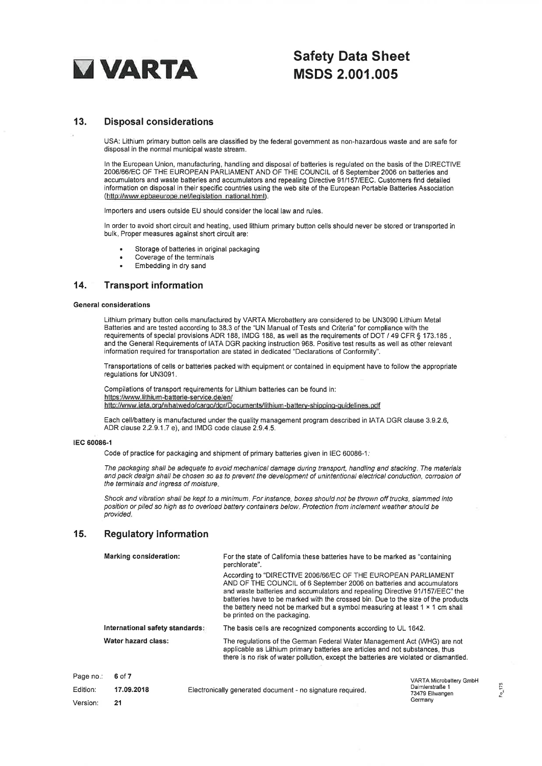

# **VARTA** Safety Data Sheet MSDS 2.001.005

## 13. Disposal considerations

USA: Lithium primary button cells are classified by the federal governmeni as non-hazardous waste and are safe for disposal in the normal municipal waste stream.

ln the European Union, manufacturing, handling and disposal of batteries is regulated on the basis of the DIRECTIVE 2006/66/EC OF THE EUROPEAN PARLIAMENT AND OF THE COUNCIL of 6 September 2006 on batteries and accumulators and waste baüeries and accumulators and repealing Directive 911157|EEC. Customers find detailed information on disposal in their specific countries using the web site of the European Portable Batteries Association (http://www.epbaeurope.net/legislation\_national.html).

Importers and users outside EU should consider the local law and rules.

ln order to avoid short circuit and heating, used lithium primary button cells should never be stored or transported in bulk. Proper measures against short circuit are:

- . Storage of batteries in original packaging
- . Coverage of the terminals
- . Embedding in dry sand

### 14. Transport information

#### General considerations

Lithium primary button cells manufactured by VARTA Microbattery are considered to be UN3090 Lithium Metal Batteries and are tested according to 38.3 of the "UN Manual of Tests and Criteria" for compliance with the requirements of special provisions ADR 188, IMDG 188, as well as the requirements of DOT / 49 CFR § 173.185, and the General Requirements of IATA DGR packing instruction 968. Positive test results as well as other relevant information required for transportation are stated in dedicated "Declarations of Conformity".

Transportations of cells or batteries packed with equipment or contained in equipment have to follow the appropriate regulations for UN3091 .

Compilations of transport requirements for Lithium batteries can be found in: https://www.lithium-batterie-service.de/en/ http://www.iata.org/whatwedo/cargo/dgr/Documents/lithium-battery-shipping-guidelines.pdf

Each cell/battery is manufactured under the quality management program described in IATA DGR clause 3.9.2.6, ADR clause 2.2.9.1.7 e), and IMDG code clause 2.9.4.5.

#### lEc 60086-l

Code of practice for packaging and shipment of primary batteries given in IEC 60086-1:

The packaging shall be adequate to avoid mechanical damage during transport, handling and stacking. The materials and pack design shall be chosen so as to prevent the development of unintentional electrical conduction, corrosion of the terminals and lngress of moisture.

Shock and vibration shall be kept to a minimum. For instance, boxes should not be thrown off trucks, slammed into position or piled so high as to overload battery containers below. Protection from inclement weather should be provided.

## 15. Regulatory information

|                     | Marking consideration:          |  | For the state of California these batteries have to be marked as "containing"<br>perchlorate".                                                                                                                                                                                                                                                                                                                                                                                                        |                                    |  |
|---------------------|---------------------------------|--|-------------------------------------------------------------------------------------------------------------------------------------------------------------------------------------------------------------------------------------------------------------------------------------------------------------------------------------------------------------------------------------------------------------------------------------------------------------------------------------------------------|------------------------------------|--|
|                     |                                 |  | According to "DIRECTIVE 2006/66/EC OF THE EUROPEAN PARLIAMENT<br>AND OF THE COUNCIL of 6 September 2006 on batteries and accumulators<br>and waste batteries and accumulators and repealing Directive 91/157/EEC" the<br>batteries have to be marked with the crossed bin. Due to the size of the products<br>the battery need not be marked but a symbol measuring at least $1 \times 1$ cm shall<br>be printed on the packaging.<br>The basis cells are recognized components according to UL 1642. |                                    |  |
|                     | International safety standards: |  |                                                                                                                                                                                                                                                                                                                                                                                                                                                                                                       |                                    |  |
| Water hazard class: |                                 |  | The regulations of the German Federal Water Management Act (WHG) are not<br>applicable as Lithium primary batteries are articles and not substances, thus<br>there is no risk of water pollution, except the batteries are violated or dismantled.                                                                                                                                                                                                                                                    |                                    |  |
| Page no.:           | 6 of 7                          |  |                                                                                                                                                                                                                                                                                                                                                                                                                                                                                                       | <b>VARTA Microbattery GmbH</b>     |  |
| Edition:            | 17.09.2018                      |  | Electronically generated document - no signature required.                                                                                                                                                                                                                                                                                                                                                                                                                                            | Daimlerstraße 1<br>73479 Ellwangen |  |
| Version:            | 21                              |  |                                                                                                                                                                                                                                                                                                                                                                                                                                                                                                       | Germany                            |  |

 $Fe_{175}$